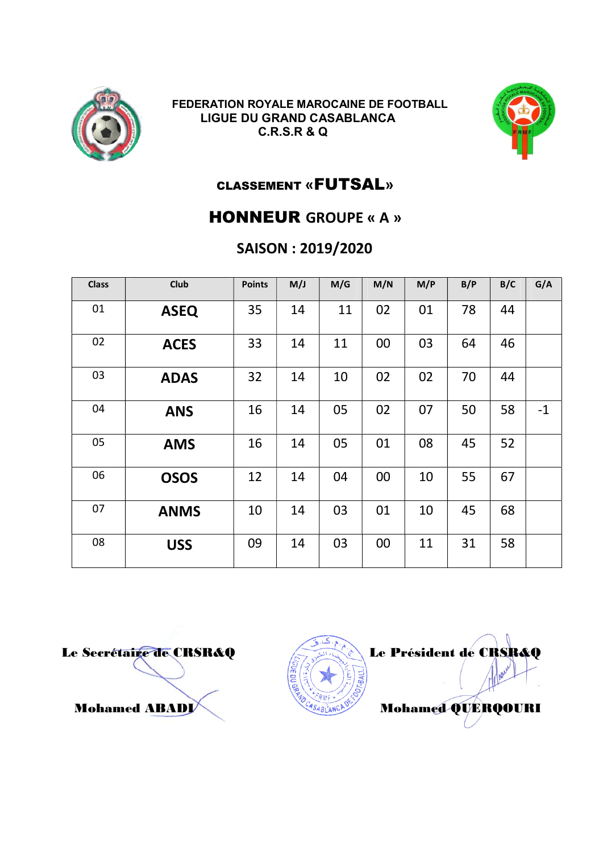



### CLASSEMENT «FUTSAL»

### HONNEUR GROUPE « A »

### SAISON : 2019/2020

| <b>Class</b> | <b>Club</b> | <b>Points</b> | M/J | M/G | M/N | M/P | B/P | B/C | G/A  |
|--------------|-------------|---------------|-----|-----|-----|-----|-----|-----|------|
| 01           | <b>ASEQ</b> | 35            | 14  | 11  | 02  | 01  | 78  | 44  |      |
| 02           | <b>ACES</b> | 33            | 14  | 11  | 00  | 03  | 64  | 46  |      |
| 03           | <b>ADAS</b> | 32            | 14  | 10  | 02  | 02  | 70  | 44  |      |
| 04           | <b>ANS</b>  | 16            | 14  | 05  | 02  | 07  | 50  | 58  | $-1$ |
| 05           | <b>AMS</b>  | 16            | 14  | 05  | 01  | 08  | 45  | 52  |      |
| 06           | <b>OSOS</b> | 12            | 14  | 04  | 00  | 10  | 55  | 67  |      |
| 07           | <b>ANMS</b> | 10            | 14  | 03  | 01  | 10  | 45  | 68  |      |
| 08           | <b>USS</b>  | 09            | 14  | 03  | 00  | 11  | 31  | 58  |      |

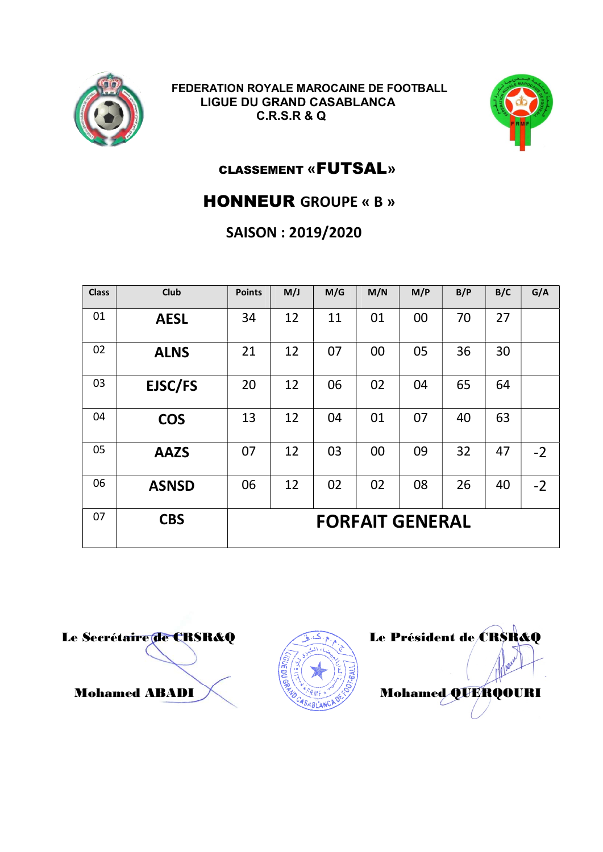



### CLASSEMENT «FUTSAL»

### HONNEUR GROUPE « B »

## SAISON : 2019/2020

| <b>Class</b> | <b>Club</b>  | <b>Points</b>          | M/J | M/G | M/N | M/P | B/P | B/C | G/A  |
|--------------|--------------|------------------------|-----|-----|-----|-----|-----|-----|------|
| 01           | <b>AESL</b>  | 34                     | 12  | 11  | 01  | 00  | 70  | 27  |      |
| 02           | <b>ALNS</b>  | 21                     | 12  | 07  | 00  | 05  | 36  | 30  |      |
| 03           | EJSC/FS      | 20                     | 12  | 06  | 02  | 04  | 65  | 64  |      |
| 04           | <b>COS</b>   | 13                     | 12  | 04  | 01  | 07  | 40  | 63  |      |
| 05           | <b>AAZS</b>  | 07                     | 12  | 03  | 00  | 09  | 32  | 47  | $-2$ |
| 06           | <b>ASNSD</b> | 06                     | 12  | 02  | 02  | 08  | 26  | 40  | $-2$ |
| 07           | <b>CBS</b>   | <b>FORFAIT GENERAL</b> |     |     |     |     |     |     |      |



Le Secrétaire de CRSR&Q Le Président de CRSR&Q Mohamed ABADI Mohamed QUERQOURI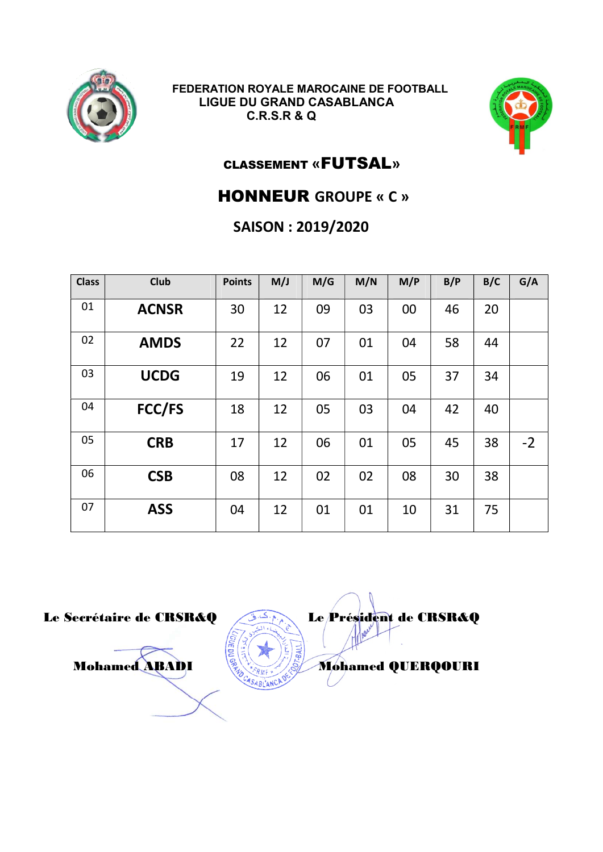



# CLASSEMENT «FUTSAL»

### HONNEUR GROUPE « C »

### SAISON : 2019/2020

| <b>Class</b> | <b>Club</b>  | <b>Points</b> | M/J | M/G | M/N | M/P | B/P | B/C | G/A  |
|--------------|--------------|---------------|-----|-----|-----|-----|-----|-----|------|
| 01           | <b>ACNSR</b> | 30            | 12  | 09  | 03  | 00  | 46  | 20  |      |
| 02           | <b>AMDS</b>  | 22            | 12  | 07  | 01  | 04  | 58  | 44  |      |
| 03           | <b>UCDG</b>  | 19            | 12  | 06  | 01  | 05  | 37  | 34  |      |
| 04           | FCC/FS       | 18            | 12  | 05  | 03  | 04  | 42  | 40  |      |
| 05           | <b>CRB</b>   | 17            | 12  | 06  | 01  | 05  | 45  | 38  | $-2$ |
| 06           | <b>CSB</b>   | 08            | 12  | 02  | 02  | 08  | 30  | 38  |      |
| 07           | <b>ASS</b>   | 04            | 12  | 01  | 01  | 10  | 31  | 75  |      |

Le Secrétaire de CRSR&Q Le Président de CRSR&Q Mohamed ABADI **Mohamed QUERQOURI**